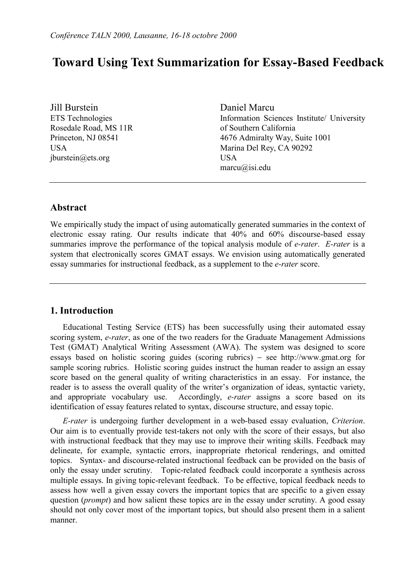# **Toward Using Text Summarization for Essay-Based Feedback**

Jill Burstein ETS Technologies Rosedale Road, MS 11R Princeton, NJ 08541 USA jburstein@ets.org

Daniel Marcu Information Sciences Institute/ University of Southern California 4676 Admiralty Way, Suite 1001 Marina Del Rey, CA 90292 **USA** marcu@isi.edu

### **Abstract**

We empirically study the impact of using automatically generated summaries in the context of electronic essay rating. Our results indicate that 40% and 60% discourse-based essay summaries improve the performance of the topical analysis module of *e-rater*. *E-rater* is a system that electronically scores GMAT essays. We envision using automatically generated essay summaries for instructional feedback, as a supplement to the *e-rater* score.

### **1. Introduction**

Educational Testing Service (ETS) has been successfully using their automated essay scoring system, *e-rater*, as one of the two readers for the Graduate Management Admissions Test (GMAT) Analytical Writing Assessment (AWA). The system was designed to score essays based on holistic scoring guides (scoring rubrics)  $-$  see http://www.gmat.org for sample scoring rubrics. Holistic scoring guides instruct the human reader to assign an essay score based on the general quality of writing characteristics in an essay. For instance, the reader is to assess the overall quality of the writer's organization of ideas, syntactic variety, and appropriate vocabulary use. Accordingly, *e-rater* assigns a score based on its identification of essay features related to syntax, discourse structure, and essay topic.

 *E-rater* is undergoing further development in a web-based essay evaluation, *Criterion*. Our aim is to eventually provide test-takers not only with the score of their essays, but also with instructional feedback that they may use to improve their writing skills. Feedback may delineate, for example, syntactic errors, inappropriate rhetorical renderings, and omitted topics. Syntax- and discourse-related instructional feedback can be provided on the basis of only the essay under scrutiny. Topic-related feedback could incorporate a synthesis across multiple essays. In giving topic-relevant feedback. To be effective, topical feedback needs to assess how well a given essay covers the important topics that are specific to a given essay question (*prompt*) and how salient these topics are in the essay under scrutiny. A good essay should not only cover most of the important topics, but should also present them in a salient manner.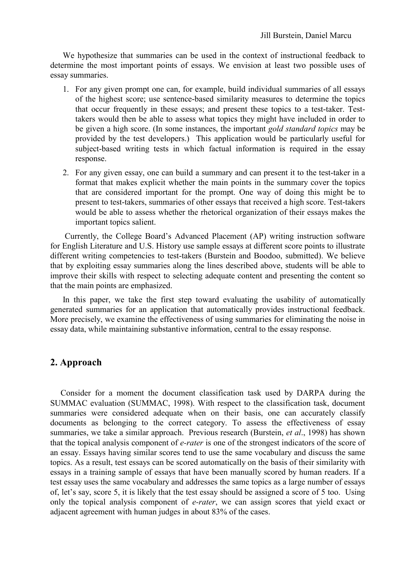We hypothesize that summaries can be used in the context of instructional feedback to determine the most important points of essays. We envision at least two possible uses of essay summaries.

- 1. For any given prompt one can, for example, build individual summaries of all essays of the highest score; use sentence-based similarity measures to determine the topics that occur frequently in these essays; and present these topics to a test-taker. Testtakers would then be able to assess what topics they might have included in order to be given a high score. (In some instances, the important *gold standard topics* may be provided by the test developers.) This application would be particularly useful for subject-based writing tests in which factual information is required in the essay response.
- 2. For any given essay, one can build a summary and can present it to the test-taker in a format that makes explicit whether the main points in the summary cover the topics that are considered important for the prompt. One way of doing this might be to present to test-takers, summaries of other essays that received a high score. Test-takers would be able to assess whether the rhetorical organization of their essays makes the important topics salient.

 Currently, the College Board's Advanced Placement (AP) writing instruction software for English Literature and U.S. History use sample essays at different score points to illustrate different writing competencies to test-takers (Burstein and Boodoo, submitted). We believe that by exploiting essay summaries along the lines described above, students will be able to improve their skills with respect to selecting adequate content and presenting the content so that the main points are emphasized.

 In this paper, we take the first step toward evaluating the usability of automatically generated summaries for an application that automatically provides instructional feedback. More precisely, we examine the effectiveness of using summaries for eliminating the noise in essay data, while maintaining substantive information, central to the essay response.

### **2. Approach**

 Consider for a moment the document classification task used by DARPA during the SUMMAC evaluation (SUMMAC, 1998). With respect to the classification task, document summaries were considered adequate when on their basis, one can accurately classify documents as belonging to the correct category. To assess the effectiveness of essay summaries, we take a similar approach. Previous research (Burstein, *et al*., 1998) has shown that the topical analysis component of *e-rater* is one of the strongest indicators of the score of an essay. Essays having similar scores tend to use the same vocabulary and discuss the same topics. As a result, test essays can be scored automatically on the basis of their similarity with essays in a training sample of essays that have been manually scored by human readers. If a test essay uses the same vocabulary and addresses the same topics as a large number of essays of, let's say, score 5, it is likely that the test essay should be assigned a score of 5 too. Using only the topical analysis component of *e-rater*, we can assign scores that yield exact or adjacent agreement with human judges in about 83% of the cases.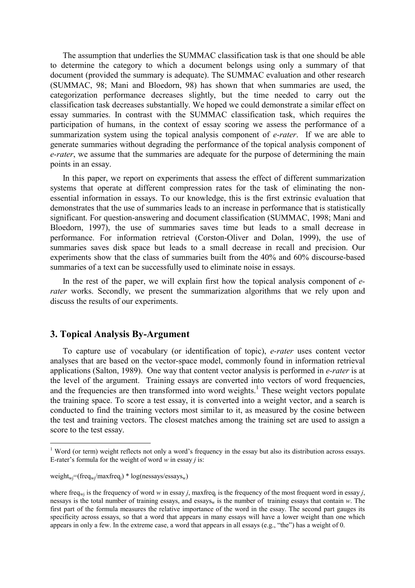The assumption that underlies the SUMMAC classification task is that one should be able to determine the category to which a document belongs using only a summary of that document (provided the summary is adequate). The SUMMAC evaluation and other research (SUMMAC, 98; Mani and Bloedorn, 98) has shown that when summaries are used, the categorization performance decreases slightly, but the time needed to carry out the classification task decreases substantially. We hoped we could demonstrate a similar effect on essay summaries. In contrast with the SUMMAC classification task, which requires the participation of humans, in the context of essay scoring we assess the performance of a summarization system using the topical analysis component of *e-rater*. If we are able to generate summaries without degrading the performance of the topical analysis component of *e-rater*, we assume that the summaries are adequate for the purpose of determining the main points in an essay.

 In this paper, we report on experiments that assess the effect of different summarization systems that operate at different compression rates for the task of eliminating the nonessential information in essays. To our knowledge, this is the first extrinsic evaluation that demonstrates that the use of summaries leads to an increase in performance that is statistically significant. For question-answering and document classification (SUMMAC, 1998; Mani and Bloedorn, 1997), the use of summaries saves time but leads to a small decrease in performance. For information retrieval (Corston-Oliver and Dolan, 1999), the use of summaries saves disk space but leads to a small decrease in recall and precision. Our experiments show that the class of summaries built from the 40% and 60% discourse-based summaries of a text can be successfully used to eliminate noise in essays.

 In the rest of the paper, we will explain first how the topical analysis component of *erater* works. Secondly, we present the summarization algorithms that we rely upon and discuss the results of our experiments.

### **3. Topical Analysis By-Argument**

 To capture use of vocabulary (or identification of topic), *e-rater* uses content vector analyses that are based on the vector-space model, commonly found in information retrieval applications (Salton, 1989). One way that content vector analysis is performed in *e-rater* is at the level of the argument. Training essays are converted into vectors of word frequencies, and the frequencies are then transformed into word weights.<sup>[1](#page-2-0)</sup> These weight vectors populate the training space. To score a test essay, it is converted into a weight vector, and a search is conducted to find the training vectors most similar to it, as measured by the cosine between the test and training vectors. The closest matches among the training set are used to assign a score to the test essay.

 $\overline{a}$ 

<span id="page-2-0"></span><sup>&</sup>lt;sup>1</sup> Word (or term) weight reflects not only a word's frequency in the essay but also its distribution across essays. E-rater's formula for the weight of word  $w$  in essay  $j$  is:

weight<sub>wj</sub>=(freq<sub>wj</sub>/maxfreq<sub>i</sub>) \* log(nessays/essays<sub>w</sub>)

where freq<sub>wi</sub> is the frequency of word *w* in essay *j*, maxfreq<sub>i</sub> is the frequency of the most frequent word in essay *j*, nessays is the total number of training essays, and essays<sub>w</sub> is the number of training essays that contain  $w$ . The first part of the formula measures the relative importance of the word in the essay. The second part gauges its specificity across essays, so that a word that appears in many essays will have a lower weight than one which appears in only a few. In the extreme case, a word that appears in all essays (e.g., "the") has a weight of 0.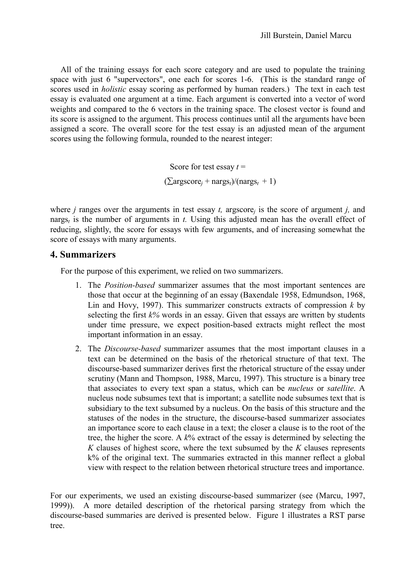All of the training essays for each score category and are used to populate the training space with just 6 "supervectors", one each for scores 1-6. (This is the standard range of scores used in *holistic* essay scoring as performed by human readers.) The text in each test essay is evaluated one argument at a time. Each argument is converted into a vector of word weights and compared to the 6 vectors in the training space. The closest vector is found and its score is assigned to the argument. This process continues until all the arguments have been assigned a score. The overall score for the test essay is an adjusted mean of the argument scores using the following formula, rounded to the nearest integer:

> Score for test essay  $t =$  $(\sum \text{argscore}_i + \text{nargs}_t)/(\text{nargs}_t + 1)$

where *j* ranges over the arguments in test essay *t,* argscore*j* is the score of argument *j,* and narg $s_t$  is the number of arguments in *t*. Using this adjusted mean has the overall effect of reducing, slightly, the score for essays with few arguments, and of increasing somewhat the score of essays with many arguments.

### **4. Summarizers**

For the purpose of this experiment, we relied on two summarizers.

- 1. The *Position-based* summarizer assumes that the most important sentences are those that occur at the beginning of an essay (Baxendale 1958, Edmundson, 1968, Lin and Hovy, 1997). This summarizer constructs extracts of compression *k* by selecting the first *k%* words in an essay. Given that essays are written by students under time pressure, we expect position-based extracts might reflect the most important information in an essay.
- 2. The *Discourse-based* summarizer assumes that the most important clauses in a text can be determined on the basis of the rhetorical structure of that text. The discourse-based summarizer derives first the rhetorical structure of the essay under scrutiny (Mann and Thompson, 1988, Marcu, 1997). This structure is a binary tree that associates to every text span a status, which can be *nucleus* or *satellite*. A nucleus node subsumes text that is important; a satellite node subsumes text that is subsidiary to the text subsumed by a nucleus. On the basis of this structure and the statuses of the nodes in the structure, the discourse-based summarizer associates an importance score to each clause in a text; the closer a clause is to the root of the tree, the higher the score. A *k*% extract of the essay is determined by selecting the *K* clauses of highest score, where the text subsumed by the *K* clauses represents k% of the original text. The summaries extracted in this manner reflect a global view with respect to the relation between rhetorical structure trees and importance.

For our experiments, we used an existing discourse-based summarizer (see (Marcu, 1997, 1999)). A more detailed description of the rhetorical parsing strategy from which the discourse-based summaries are derived is presented below. Figure 1 illustrates a RST parse tree.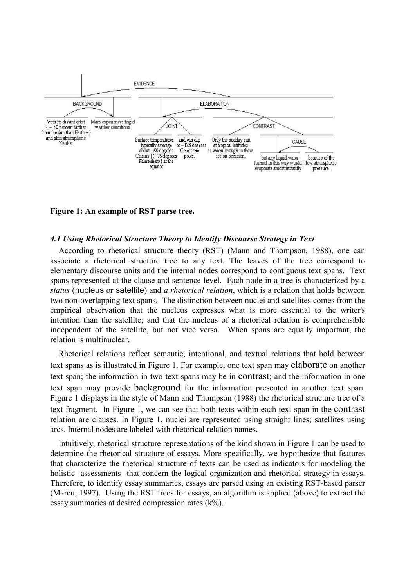

**Figure 1: An example of RST parse tree.** 

#### *4.1 Using Rhetorical Structure Theory to Identify Discourse Strategy in Text*

 According to rhetorical structure theory (RST) (Mann and Thompson, 1988), one can associate a rhetorical structure tree to any text. The leaves of the tree correspond to elementary discourse units and the internal nodes correspond to contiguous text spans. Text spans represented at the clause and sentence level. Each node in a tree is characterized by a *status* (nucleus or satellite) and *a rhetorical relation*, which is a relation that holds between two non-overlapping text spans. The distinction between nuclei and satellites comes from the empirical observation that the nucleus expresses what is more essential to the writer's intention than the satellite; and that the nucleus of a rhetorical relation is comprehensible independent of the satellite, but not vice versa. When spans are equally important, the relation is multinuclear.

 Rhetorical relations reflect semantic, intentional, and textual relations that hold between text spans as is illustrated in Figure 1. For example, one text span may elaborate on another text span; the information in two text spans may be in contrast; and the information in one text span may provide background for the information presented in another text span. Figure 1 displays in the style of Mann and Thompson (1988) the rhetorical structure tree of a text fragment. In Figure 1, we can see that both texts within each text span in the contrast relation are clauses. In Figure 1, nuclei are represented using straight lines; satellites using arcs. Internal nodes are labeled with rhetorical relation names.

Intuitively, rhetorical structure representations of the kind shown in Figure 1 can be used to determine the rhetorical structure of essays. More specifically, we hypothesize that features that characterize the rhetorical structure of texts can be used as indicators for modeling the holistic assessments that concern the logical organization and rhetorical strategy in essays. Therefore, to identify essay summaries, essays are parsed using an existing RST-based parser (Marcu, 1997). Using the RST trees for essays, an algorithm is applied (above) to extract the essay summaries at desired compression rates (k%).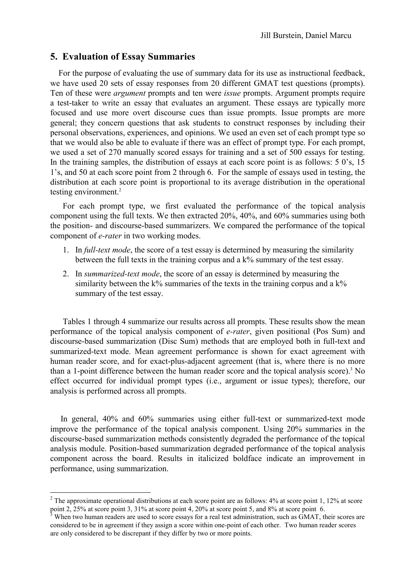### **5. Evaluation of Essay Summaries**

 For the purpose of evaluating the use of summary data for its use as instructional feedback, we have used 20 sets of essay responses from 20 different GMAT test questions (prompts). Ten of these were *argument* prompts and ten were *issue* prompts. Argument prompts require a test-taker to write an essay that evaluates an argument. These essays are typically more focused and use more overt discourse cues than issue prompts. Issue prompts are more general; they concern questions that ask students to construct responses by including their personal observations, experiences, and opinions. We used an even set of each prompt type so that we would also be able to evaluate if there was an effect of prompt type. For each prompt, we used a set of 270 manually scored essays for training and a set of 500 essays for testing. In the training samples, the distribution of essays at each score point is as follows: 5 0's, 15 1's, and 50 at each score point from 2 through 6. For the sample of essays used in testing, the distribution at each score point is proportional to its average distribution in the operational testing environment.<sup>2</sup>

 For each prompt type, we first evaluated the performance of the topical analysis component using the full texts. We then extracted 20%, 40%, and 60% summaries using both the position- and discourse-based summarizers. We compared the performance of the topical component of *e-rater* in two working modes.

- 1. In *full-text mode*, the score of a test essay is determined by measuring the similarity between the full texts in the training corpus and a k% summary of the test essay.
- 2. In *summarized-text mode*, the score of an essay is determined by measuring the similarity between the  $k\%$  summaries of the texts in the training corpus and a  $k\%$ summary of the test essay.

 Tables 1 through 4 summarize our results across all prompts. These results show the mean performance of the topical analysis component of *e-rater*, given positional (Pos Sum) and discourse-based summarization (Disc Sum) methods that are employed both in full-text and summarized-text mode. Mean agreement performance is shown for exact agreement with human reader score, and for exact-plus-adjacent agreement (that is, where there is no more thana 1-point difference between the human reader score and the topical analysis score).<sup>3</sup> No effect occurred for individual prompt types (i.e., argument or issue types); therefore, our analysis is performed across all prompts.

 In general, 40% and 60% summaries using either full-text or summarized-text mode improve the performance of the topical analysis component. Using 20% summaries in the discourse-based summarization methods consistently degraded the performance of the topical analysis module. Position-based summarization degraded performance of the topical analysis component across the board. Results in italicized boldface indicate an improvement in performance, using summarization.

 $\overline{a}$ 

<span id="page-5-0"></span><sup>&</sup>lt;sup>2</sup> The approximate operational distributions at each score point are as follows:  $4\%$  at score point 1, 12% at score point 2, 25% at score point 3, 31% at score point 4, 20% at score point 5, and 8% at score point 6.

<span id="page-5-1"></span> $3$  When two human readers are used to score essays for a real test administration, such as GMAT, their scores are considered to be in agreement if they assign a score within one-point of each other. Two human reader scores are only considered to be discrepant if they differ by two or more points.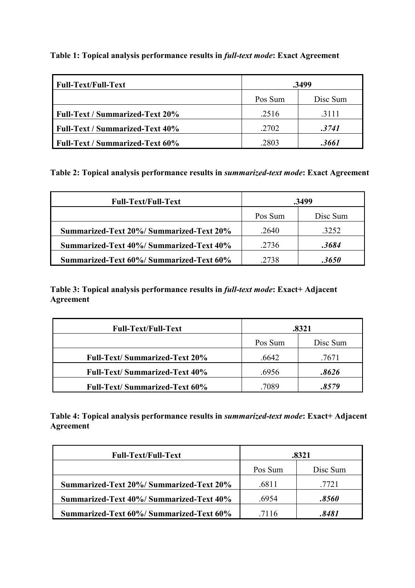| <b>Full-Text/Full-Text</b>             | .3499   |          |
|----------------------------------------|---------|----------|
|                                        | Pos Sum | Disc Sum |
| <b>Full-Text / Summarized-Text 20%</b> | .2516   | .3111    |
| <b>Full-Text / Summarized-Text 40%</b> | .2702   | .3741    |
| <b>Full-Text / Summarized-Text 60%</b> | .2803   | .3661    |

**Table 1: Topical analysis performance results in** *full-text mode***: Exact Agreement** 

**Table 2: Topical analysis performance results in** *summarized-text mode***: Exact Agreement** 

| <b>Full-Text/Full-Text</b>                      | .3499   |          |
|-------------------------------------------------|---------|----------|
|                                                 | Pos Sum | Disc Sum |
| <b>Summarized-Text 20%/ Summarized-Text 20%</b> | .2640   | .3252    |
| Summarized-Text 40%/Summarized-Text 40%         | .2736   | .3684    |
| Summarized-Text 60%/Summarized-Text 60%         | .2738   | .3650    |

**Table 3: Topical analysis performance results in** *full-text mode***: Exact+ Adjacent Agreement** 

| <b>Full-Text/Full-Text</b>           | .8321   |          |
|--------------------------------------|---------|----------|
|                                      | Pos Sum | Disc Sum |
| <b>Full-Text/Summarized-Text 20%</b> | .6642   | .7671    |
| <b>Full-Text/Summarized-Text 40%</b> | .6956   | .8626    |
| <b>Full-Text/Summarized-Text 60%</b> | 7089    | 8579     |

**Table 4: Topical analysis performance results in** *summarized-text mode***: Exact+ Adjacent Agreement** 

| <b>Full-Text/Full-Text</b>                      | .8321   |          |
|-------------------------------------------------|---------|----------|
|                                                 | Pos Sum | Disc Sum |
| <b>Summarized-Text 20%/ Summarized-Text 20%</b> | .6811   | 7721     |
| Summarized-Text 40%/Summarized-Text 40%         | .6954   | .8560    |
| Summarized-Text 60%/Summarized-Text 60%         | 7116    | 8481     |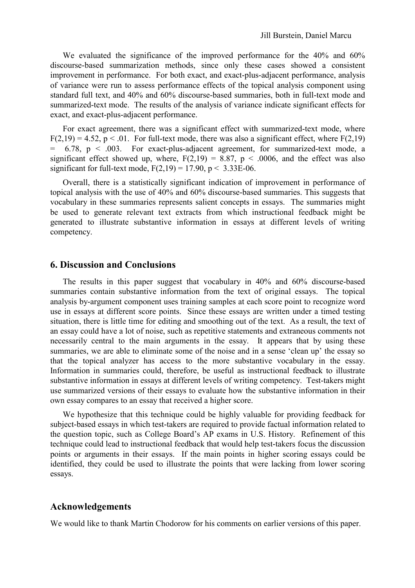We evaluated the significance of the improved performance for the 40% and 60% discourse-based summarization methods, since only these cases showed a consistent improvement in performance. For both exact, and exact-plus-adjacent performance, analysis of variance were run to assess performance effects of the topical analysis component using standard full text, and 40% and 60% discourse-based summaries, both in full-text mode and summarized-text mode. The results of the analysis of variance indicate significant effects for exact, and exact-plus-adjacent performance.

 For exact agreement, there was a significant effect with summarized-text mode, where  $F(2,19) = 4.52$ ,  $p < 0.01$ . For full-text mode, there was also a significant effect, where  $F(2,19)$  $= 6.78$ ,  $p < .003$ . For exact-plus-adjacent agreement, for summarized-text mode, a significant effect showed up, where,  $F(2,19) = 8.87$ ,  $p < .0006$ , and the effect was also significant for full-text mode,  $F(2,19) = 17.90$ ,  $p < 3.33E-06$ .

 Overall, there is a statistically significant indication of improvement in performance of topical analysis with the use of 40% and 60% discourse-based summaries. This suggests that vocabulary in these summaries represents salient concepts in essays. The summaries might be used to generate relevant text extracts from which instructional feedback might be generated to illustrate substantive information in essays at different levels of writing competency.

### **6. Discussion and Conclusions**

 The results in this paper suggest that vocabulary in 40% and 60% discourse-based summaries contain substantive information from the text of original essays. The topical analysis by-argument component uses training samples at each score point to recognize word use in essays at different score points. Since these essays are written under a timed testing situation, there is little time for editing and smoothing out of the text. As a result, the text of an essay could have a lot of noise, such as repetitive statements and extraneous comments not necessarily central to the main arguments in the essay. It appears that by using these summaries, we are able to eliminate some of the noise and in a sense 'clean up' the essay so that the topical analyzer has access to the more substantive vocabulary in the essay. Information in summaries could, therefore, be useful as instructional feedback to illustrate substantive information in essays at different levels of writing competency. Test-takers might use summarized versions of their essays to evaluate how the substantive information in their own essay compares to an essay that received a higher score.

 We hypothesize that this technique could be highly valuable for providing feedback for subject-based essays in which test-takers are required to provide factual information related to the question topic, such as College Board's AP exams in U.S. History. Refinement of this technique could lead to instructional feedback that would help test-takers focus the discussion points or arguments in their essays. If the main points in higher scoring essays could be identified, they could be used to illustrate the points that were lacking from lower scoring essays.

### **Acknowledgements**

We would like to thank Martin Chodorow for his comments on earlier versions of this paper.